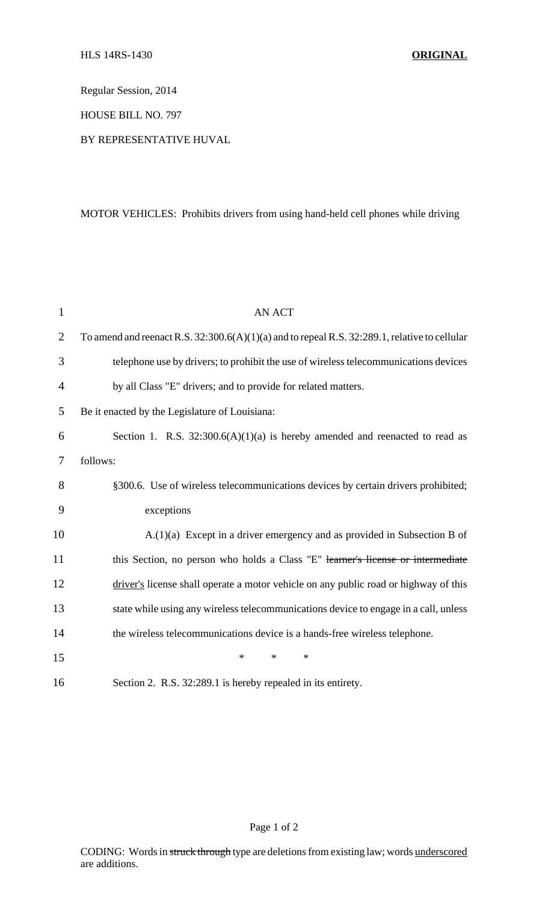Regular Session, 2014

HOUSE BILL NO. 797

## BY REPRESENTATIVE HUVAL

## MOTOR VEHICLES: Prohibits drivers from using hand-held cell phones while driving

| $\mathbf{1}$   | <b>AN ACT</b>                                                                                      |
|----------------|----------------------------------------------------------------------------------------------------|
| $\overline{2}$ | To amend and reenact R.S. $32:300.6(A)(1)(a)$ and to repeal R.S. $32:289.1$ , relative to cellular |
| 3              | telephone use by drivers; to prohibit the use of wireless telecommunications devices               |
| $\overline{4}$ | by all Class "E" drivers; and to provide for related matters.                                      |
| 5              | Be it enacted by the Legislature of Louisiana:                                                     |
| 6              | Section 1. R.S. $32:300.6(A)(1)(a)$ is hereby amended and reenacted to read as                     |
| 7              | follows:                                                                                           |
| 8              | §300.6. Use of wireless telecommunications devices by certain drivers prohibited;                  |
| 9              | exceptions                                                                                         |
| 10             | $A(1)(a)$ Except in a driver emergency and as provided in Subsection B of                          |
| 11             | this Section, no person who holds a Class "E" learner's license or intermediate                    |
| 12             | driver's license shall operate a motor vehicle on any public road or highway of this               |
| 13             | state while using any wireless telecommunications device to engage in a call, unless               |
| 14             | the wireless telecommunications device is a hands-free wireless telephone.                         |
| 15             | $\ast$<br>$\ast$<br>$\ast$                                                                         |
| 16             | Section 2. R.S. 32:289.1 is hereby repealed in its entirety.                                       |